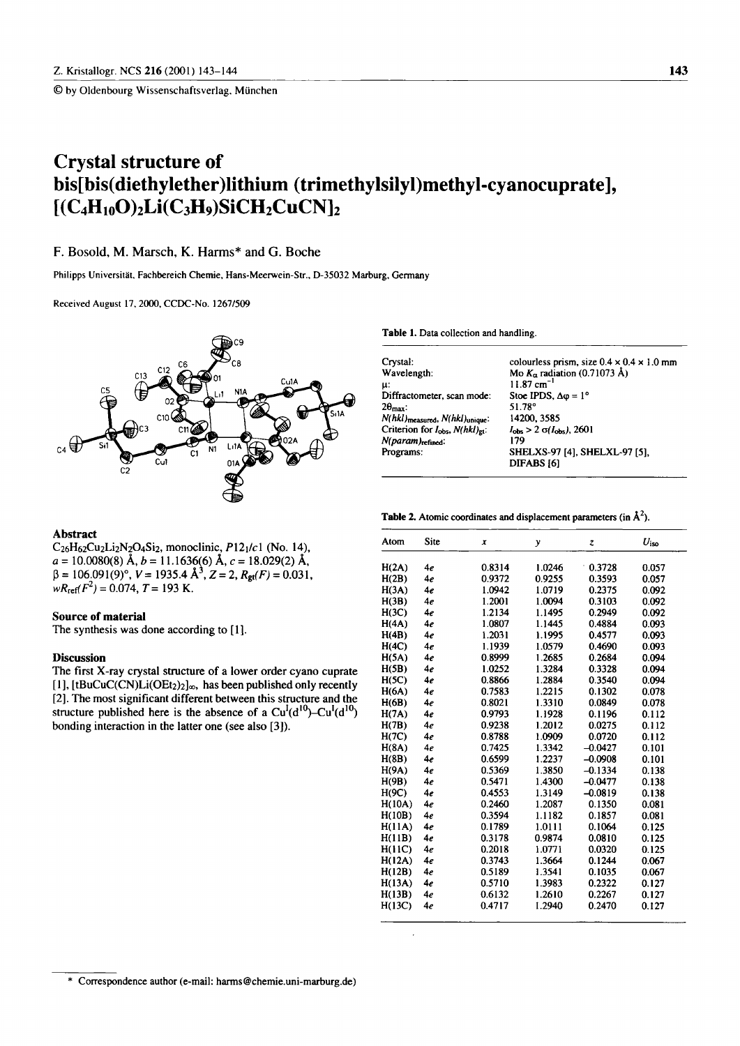© by Oldenbourg Wissenschaftsverlag. München

# **Crystal structure of bis[bis(diethylether)lithium (trimethylsilyl)methyl-cyanocuprate],**   $[ (C_4H_{10}O)_2Li(C_3H_9)SiCH_2CuCN]_2$

## **F. Bosold, M. Marsch, Κ. Harms\* and G. Boche**

Philipps Universität. Fachbereich Chemie, Hans-Meerwein-Str., D-35032 Marburg, Germany

Received August 17, 2000, CCDC-No. 1267/509



#### **Abstract**

 $C_{26}H_{62}Cu_{2}Li_{2}N_{2}O_{4}Si_{2}$ , monoclinic,  $P12_{1}/c1$  (No. 14), *a* = 10.0080(8) Ä, *b =* 11.1636(6) Ä, c = 18.029(2) Ä,  $= 106.091(9)$ °,  $V = 1935.4 \text{ Å}^3$ ,  $Z = 2$ ,  $R_{gt}(F) = 0.031$ ,  $wR_{\text{ref}}(F^2) = 0.074, T = 193 \text{ K}.$ 

### **Source of material**

The synthesis was done according to [1].

### **Discussion**

The first X-ray crystal structure of a lower order cyano cuprate [1],  $[tBuCuC(CN)Li(OEt<sub>2</sub>)<sub>2</sub>]<sub>\infty</sub>$ , has been published only recently [2]. The most significant different between this structure and the structure published here is the absence of a  $Cu<sup>I</sup>(d<sup>10</sup>)-Cu<sup>I</sup>(d<sup>10</sup>)$ bonding interaction in the latter one (see also  $[3]$ ).

**Table** 1. Data collection and handling.

| Crystal:                                                | colourless prism, size $0.4 \times 0.4 \times 1.0$ mm |
|---------------------------------------------------------|-------------------------------------------------------|
| Wavelength:                                             | Mo $K_{\alpha}$ radiation (0.71073 Å)                 |
| μ:                                                      | $11.87 \text{ cm}^{-1}$                               |
| Diffractometer, scan mode:                              | Stoe IPDS, $\Delta \varphi = 1^{\circ}$               |
| $2\theta_{\text{max}}$ :                                | 51.78°                                                |
| $N(hkl)$ measured, $N(hkl)$ unique:                     | 14200, 3585                                           |
| Criterion for I <sub>obs</sub> , N(hkl) <sub>gt</sub> : | $I_{\rm obs}$ > 2 $\sigma(I_{\rm obs})$ , 2601        |
| N(param) <sub>refined</sub> :                           | 179                                                   |
| Programs:                                               | SHELXS-97 [4], SHELXL-97 [5].                         |
|                                                         | DIFABS <sub>[6]</sub>                                 |
|                                                         |                                                       |

**Table 2.** Atomic coordinates and displacement parameters (in  $\mathbf{\hat{A}}^2$ ).

| Atom   | Site | x      | y      | z         | $U_{\rm iso}$ |  |
|--------|------|--------|--------|-----------|---------------|--|
| H(2A)  | 4e   | 0.8314 | 1.0246 | 0.3728    | 0.057         |  |
| H(2B)  | 4e   | 0.9372 | 0.9255 | 0.3593    | 0.057         |  |
| H(3A)  | 4e   | 1.0942 | 1.0719 | 0.2375    | 0.092         |  |
| H(3B)  | 4e   | 1.2001 | 1.0094 | 0.3103    | 0.092         |  |
| H(3C)  | 4e   | 1.2134 | 1.1495 | 0.2949    | 0.092         |  |
| H(4A)  | 4e   | 1.0807 | 1.1445 | 0.4884    | 0.093         |  |
| H(4B)  | 4e   | 1.2031 | 1.1995 | 0.4577    | 0.093         |  |
| H(4C)  | 4e   | 1.1939 | 1.0579 | 0.4690    | 0.093         |  |
| H(5A)  | 4e   | 0.8999 | 1.2685 | 0.2684    | 0.094         |  |
| H(5B)  | 4e   | 1.0252 | 1.3284 | 0.3328    | 0.094         |  |
| H(5C)  | 4e   | 0.8866 | 1.2884 | 0.3540    | 0.094         |  |
| H(6A)  | 4e   | 0.7583 | 1.2215 | 0.1302    | 0.078         |  |
| H(6B)  | 4e   | 0.8021 | 1.3310 | 0.0849    | 0.078         |  |
| H(7A)  | 4e   | 0.9793 | 1.1928 | 0.1196    | 0.112         |  |
| H(7B)  | 4e   | 0.9238 | 1.2012 | 0.0275    | 0.112         |  |
| H(7C)  | 4e   | 0.8788 | 1.0909 | 0.0720    | 0.112         |  |
| H(8A)  | 4e   | 0.7425 | 1.3342 | $-0.0427$ | 0.101         |  |
| H(8B)  | 4e   | 0.6599 | 1.2237 | $-0.0908$ | 0.101         |  |
| H(9A)  | 4e   | 0.5369 | 1.3850 | $-0.1334$ | 0.138         |  |
| H(9B)  | 4e   | 0.5471 | 1.4300 | $-0.0477$ | 0.138         |  |
| H(9C)  | 4e   | 0.4553 | 1.3149 | $-0.0819$ | 0.138         |  |
| H(10A) | 4e   | 0.2460 | 1.2087 | 0.1350    | 0.081         |  |
| H(10B) | 4e   | 0.3594 | 1.1182 | 0.1857    | 0.081         |  |
| H(11A) | 4e   | 0.1789 | 1.0111 | 0.1064    | 0.125         |  |
| H(11B) | 4e   | 0.3178 | 0.9874 | 0.0810    | 0.125         |  |
| H(11C) | 4e   | 0.2018 | 1.0771 | 0.0320    | 0.125         |  |
| H(12A) | 4e   | 0.3743 | 1.3664 | 0.1244    | 0.067         |  |
| H(12B) | 4e   | 0.5189 | 1.3541 | 0.1035    | 0.067         |  |
| H(13A) | 4e   | 0.5710 | 1.3983 | 0.2322    | 0.127         |  |
| H(13B) | 4e   | 0.6132 | 1.2610 | 0.2267    | 0.127         |  |
| H(13C) | 4e   | 0.4717 | 1.2940 | 0.2470    | 0.127         |  |

 $\overline{a}$ 

<sup>\*</sup> Correspondence author (e-mail: harms@chemie.uni-marburg.de)